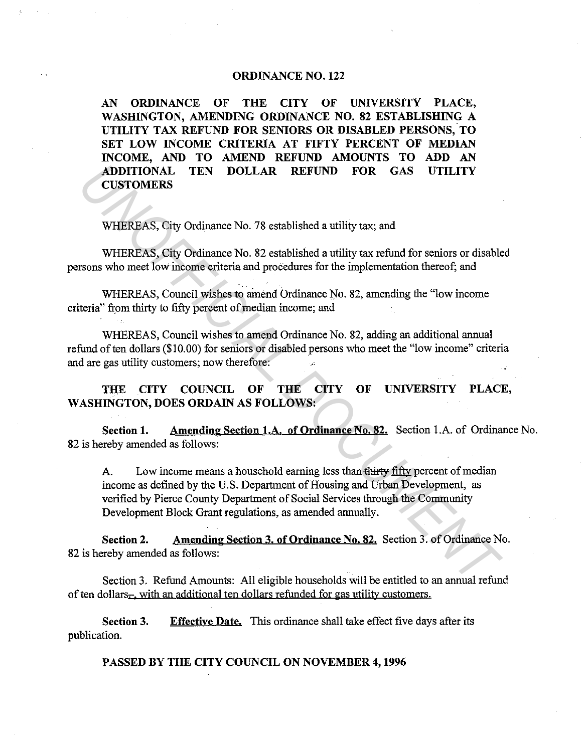## **ORDINANCE NO. 122**

**AN ORDINANCE OF THE CITY OF UNIVERSITY PLACE,**  WASHINGTON, AMENDING ORDINANCE NO. 82 ESTABLISHING A **UTILITY TAX REFUND FOR SENIORS OR DISABLED PERSONS, TO SET LOW INCOME CRITERIA AT FIFTY PERCENT OF MEDIAN INCOME, AND TO AMEND REFUND AMOUNTS TO ADD AN ADDITIONAL TEN DOLLAR REFUND FOR GAS UTILITY CUSTOMERS** 

WHEREAS, City Ordinance No. 78 established a utility tax; and

WHEREAS, City Ordinance No. 82 established a utility tax refund for seniors or disabled persons who meet low income criteria and procedures for the implementation thereof; and

WHEREAS, Council wishes to amend Ordinance No. 82, amending the "low income criteria" from thirty to fifty percent of median income; and

WHEREAS, Council wishes to amend Ordinance No. 82, adding an additional annual refund of ten dollars (\$10.00) for seniors or disabled persons who meet the "low income" criteria and are gas utility customers; now therefore:

**THE CITY COUNCIL OF THE CITY OF UNIVERSITY PLACE, WASHINGTON, DOES ORDAIN AS FOLLOWS:** 

**Section 1.** Amending Section 1.A. of Ordinance No. 82. Section 1.A. of Ordinance No. 82 is hereby amended as follows:

A. Low income means a household earning less than-thirty fifty percent of median income as defined by the U.S. Department of Housing and Urban Development, as verified by Pierce County Department of Social Services through the Community Development Block Grant regulations, as amended annually. **ADDITIONAL TEN DOLLAR REFUND FOR GAS UTILITY**<br> **CUSTOMERS**<br>
WHEREAS, City Ordinance No. 78 established a utility tax; and<br>
WHEREAS, City Ordinance No. 82 established a utility tax refund for seniors or disable<br>
INDITIONAL

**Section 2. Amending Section 3. of Ordinance No. 82.** Section 3. of Ordinance No. 82 is hereby amended as follows:

Section 3. Refund Amounts: All eligible households will be entitled to an annual refund of ten dollars- with an additional ten dollars refunded for gas utility customers.

**Section 3.**  publication. **Effective Date.** This ordinance shall take effect five days after its

**PASSED BY THE CITY COUNCIL ON NOVEMBER 4, 1996**